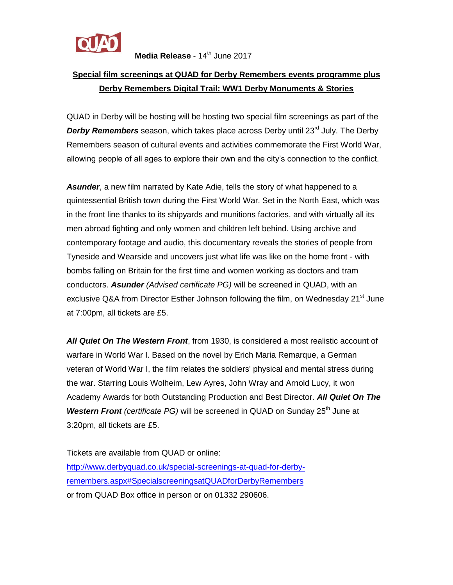

## **Special film screenings at QUAD for Derby Remembers events programme plus Derby Remembers Digital Trail: WW1 Derby Monuments & Stories**

QUAD in Derby will be hosting will be hosting two special film screenings as part of the **Derby Remembers** season, which takes place across Derby until 23<sup>rd</sup> July. The Derby Remembers season of cultural events and activities commemorate the First World War, allowing people of all ages to explore their own and the city's connection to the conflict.

*Asunder*, a new film narrated by Kate Adie, tells the story of what happened to a quintessential British town during the First World War. Set in the North East, which was in the front line thanks to its shipyards and munitions factories, and with virtually all its men abroad fighting and only women and children left behind. Using archive and contemporary footage and audio, this documentary reveals the stories of people from Tyneside and Wearside and uncovers just what life was like on the home front - with bombs falling on Britain for the first time and women working as doctors and tram conductors. *Asunder (Advised certificate PG)* will be screened in QUAD, with an exclusive Q&A from Director Esther Johnson following the film, on Wednesday  $21<sup>st</sup>$  June at 7:00pm, all tickets are £5.

*All Quiet On The Western Front*, from 1930, is considered a most realistic account of warfare in World War I. Based on the novel by Erich Maria Remarque, a German veteran of World War I, the film relates the soldiers' physical and mental stress during the war. Starring Louis Wolheim, Lew Ayres, John Wray and Arnold Lucy, it won Academy Awards for both Outstanding Production and Best Director. *All Quiet On The Western Front (certificate PG)* will be screened in QUAD on Sunday 25<sup>th</sup> June at 3:20pm, all tickets are £5.

Tickets are available from QUAD or online: [http://www.derbyquad.co.uk/special-screenings-at-quad-for-derby](http://www.derbyquad.co.uk/special-screenings-at-quad-for-derby-remembers.aspx#SpecialscreeningsatQUADforDerbyRemembers)[remembers.aspx#SpecialscreeningsatQUADforDerbyRemembers](http://www.derbyquad.co.uk/special-screenings-at-quad-for-derby-remembers.aspx#SpecialscreeningsatQUADforDerbyRemembers) or from QUAD Box office in person or on 01332 290606.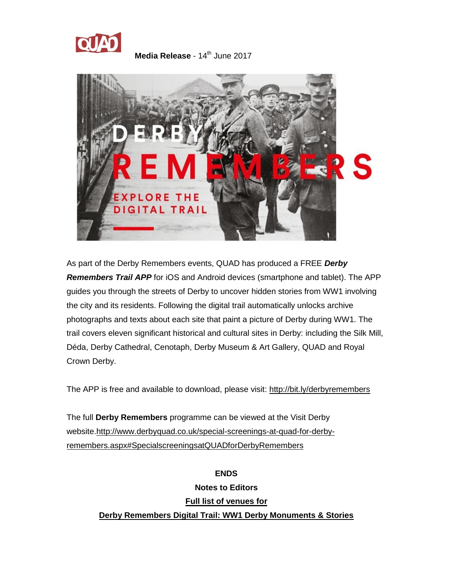



As part of the Derby Remembers events, QUAD has produced a FREE *Derby Remembers Trail APP* for iOS and Android devices (smartphone and tablet). The APP guides you through the streets of Derby to uncover hidden stories from WW1 involving the city and its residents. Following the digital trail automatically unlocks archive photographs and texts about each site that paint a picture of Derby during WW1. The trail covers eleven significant historical and cultural sites in Derby: including the Silk Mill, Déda, Derby Cathedral, Cenotaph, Derby Museum & Art Gallery, QUAD and Royal Crown Derby.

The APP is free and available to download, please visit:<http://bit.ly/derbyremembers>

The full **Derby Remembers** programme can be viewed at the Visit Derby website[.http://www.derbyquad.co.uk/special-screenings-at-quad-for-derby](http://www.derbyquad.co.uk/special-screenings-at-quad-for-derby-remembers.aspx#SpecialscreeningsatQUADforDerbyRemembers)[remembers.aspx#SpecialscreeningsatQUADforDerbyRemembers](http://www.derbyquad.co.uk/special-screenings-at-quad-for-derby-remembers.aspx#SpecialscreeningsatQUADforDerbyRemembers)

> **ENDS Notes to Editors Full list of venues for Derby Remembers Digital Trail: WW1 Derby Monuments & Stories**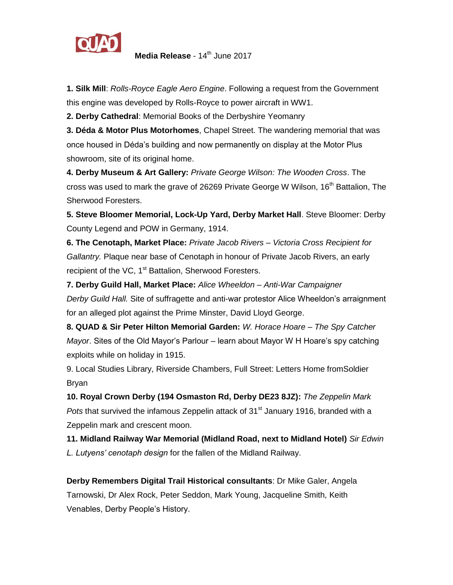

**1. Silk Mill**: *Rolls-Royce Eagle Aero Engine*. Following a request from the Government this engine was developed by Rolls-Royce to power aircraft in WW1.

**2. Derby Cathedral**: Memorial Books of the Derbyshire Yeomanry

**3. Déda & Motor Plus Motorhomes**, Chapel Street. The wandering memorial that was once housed in Déda's building and now permanently on display at the Motor Plus showroom, site of its original home.

**4. Derby Museum & Art Gallery:** *Private George Wilson: The Wooden Cross*. The cross was used to mark the grave of 26269 Private George W Wilson, 16<sup>th</sup> Battalion. The Sherwood Foresters.

**5. Steve Bloomer Memorial, Lock-Up Yard, Derby Market Hall**. Steve Bloomer: Derby County Legend and POW in Germany, 1914.

**6. The Cenotaph, Market Place:** *Private Jacob Rivers – Victoria Cross Recipient for Gallantry.* Plaque near base of Cenotaph in honour of Private Jacob Rivers, an early recipient of the VC, 1<sup>st</sup> Battalion, Sherwood Foresters.

**7. Derby Guild Hall, Market Place:** *Alice Wheeldon – Anti-War Campaigner Derby Guild Hall.* Site of suffragette and anti-war protestor Alice Wheeldon's arraignment for an alleged plot against the Prime Minster, David Lloyd George.

**8. QUAD & Sir Peter Hilton Memorial Garden:** *W. Horace Hoare – The Spy Catcher Mayor*. Sites of the Old Mayor's Parlour – learn about Mayor W H Hoare's spy catching exploits while on holiday in 1915.

9. Local Studies Library, Riverside Chambers, Full Street: Letters Home fromSoldier Bryan

**10. Royal Crown Derby (194 Osmaston Rd, Derby DE23 8JZ):** *The Zeppelin Mark Pots* that survived the infamous Zeppelin attack of 31<sup>st</sup> January 1916, branded with a Zeppelin mark and crescent moon.

**11. Midland Railway War Memorial (Midland Road, next to Midland Hotel)** *Sir Edwin L. Lutyens' cenotaph design* for the fallen of the Midland Railway.

**Derby Remembers Digital Trail Historical consultants**: Dr Mike Galer, Angela Tarnowski, Dr Alex Rock, Peter Seddon, Mark Young, Jacqueline Smith, Keith Venables, Derby People's History.